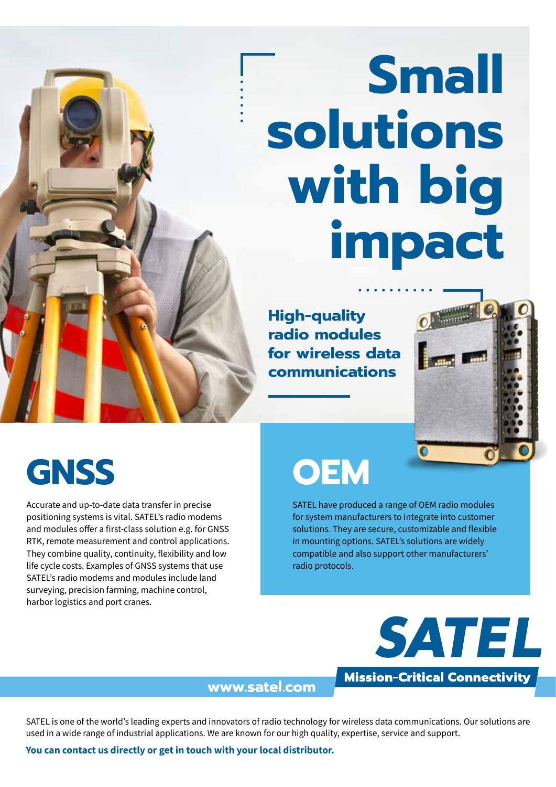# **Small solutions with big impact**

**High-quality radio modules for wireless data communications**





Accurate and up-to-date data transfer in precise positioning systems is vital. SATEL's radio modems and modules offer a first-class solution e.g. for GNSS RTK, remote measurement and control applications. They combine quality, continuity, flexibility and low life cycle costs. Examples of GNSS systems that use SATEL's radio modems and modules include land surveying, precision farming, machine control, harbor logistics and port cranes.

### **OEM**

SATEL have produced a range of OEM radio modules for system manufacturers to integrate into customer solutions. They are secure, customizable and flexible in mounting options. SATEL's solutions are widely compatible and also support other manufacturers' radio protocols.



#### www.satel.com

SATEL is one of the world's leading experts and innovators of radio technology for wireless data communications. Our solutions are used in a wide range of industrial applications. We are known for our high quality, expertise, service and support.

**You can contact us directly or get in touch with your local distributor.**